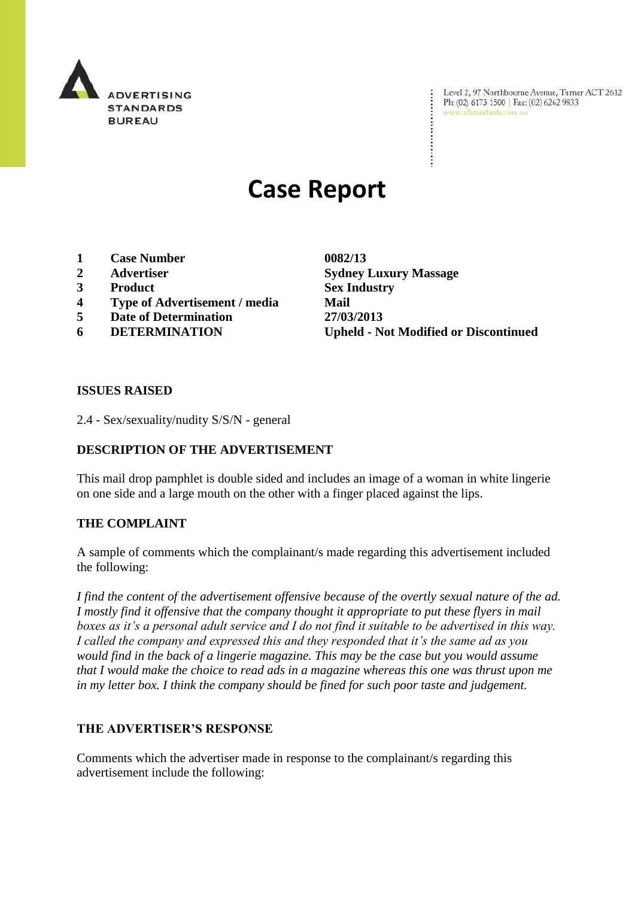

Level 2, 97 Northbourne Avenue, Turner ACT 2612 Ph: (02) 6173 1500 | Fax: (02) 6262 9833 www.adstandards.com.au

# **Case Report**

- **1 Case Number 0082/13**
- 
- **3 Product Sex Industry**
- **4 Type of Advertisement / media Mail**
- **5 Date of Determination 27/03/2013**
- 

**2 Advertiser Sydney Luxury Massage 6 DETERMINATION Upheld - Not Modified or Discontinued**

#### **ISSUES RAISED**

2.4 - Sex/sexuality/nudity S/S/N - general

## **DESCRIPTION OF THE ADVERTISEMENT**

This mail drop pamphlet is double sided and includes an image of a woman in white lingerie on one side and a large mouth on the other with a finger placed against the lips.

## **THE COMPLAINT**

A sample of comments which the complainant/s made regarding this advertisement included the following:

*I find the content of the advertisement offensive because of the overtly sexual nature of the ad. I mostly find it offensive that the company thought it appropriate to put these flyers in mail boxes as it's a personal adult service and I do not find it suitable to be advertised in this way. I called the company and expressed this and they responded that it's the same ad as you would find in the back of a lingerie magazine. This may be the case but you would assume that I would make the choice to read ads in a magazine whereas this one was thrust upon me in my letter box. I think the company should be fined for such poor taste and judgement.*

## **THE ADVERTISER'S RESPONSE**

Comments which the advertiser made in response to the complainant/s regarding this advertisement include the following: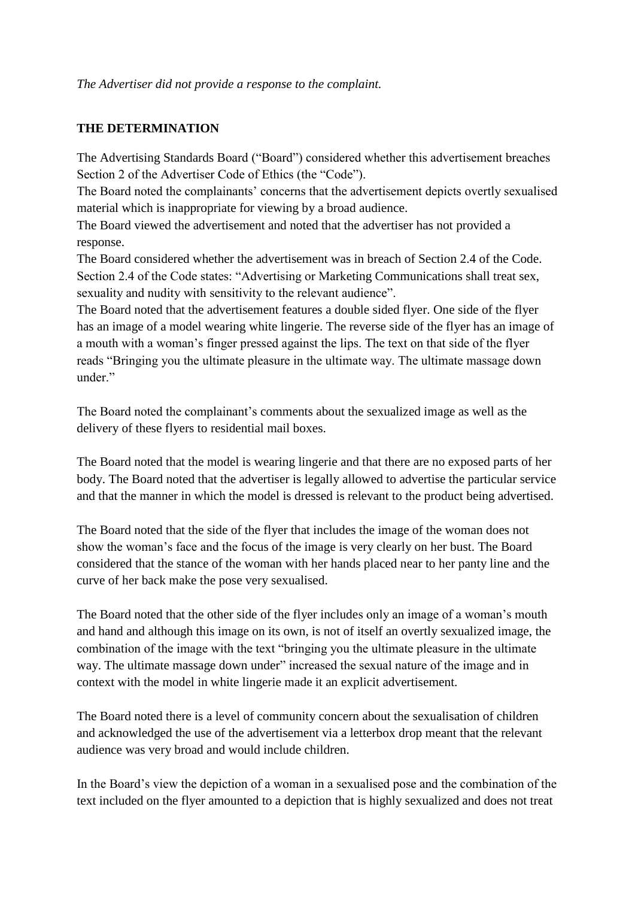*The Advertiser did not provide a response to the complaint.*

#### **THE DETERMINATION**

The Advertising Standards Board ("Board") considered whether this advertisement breaches Section 2 of the Advertiser Code of Ethics (the "Code").

The Board noted the complainants' concerns that the advertisement depicts overtly sexualised material which is inappropriate for viewing by a broad audience.

The Board viewed the advertisement and noted that the advertiser has not provided a response.

The Board considered whether the advertisement was in breach of Section 2.4 of the Code. Section 2.4 of the Code states: "Advertising or Marketing Communications shall treat sex, sexuality and nudity with sensitivity to the relevant audience".

The Board noted that the advertisement features a double sided flyer. One side of the flyer has an image of a model wearing white lingerie. The reverse side of the flyer has an image of a mouth with a woman's finger pressed against the lips. The text on that side of the flyer reads "Bringing you the ultimate pleasure in the ultimate way. The ultimate massage down under"

The Board noted the complainant's comments about the sexualized image as well as the delivery of these flyers to residential mail boxes.

The Board noted that the model is wearing lingerie and that there are no exposed parts of her body. The Board noted that the advertiser is legally allowed to advertise the particular service and that the manner in which the model is dressed is relevant to the product being advertised.

The Board noted that the side of the flyer that includes the image of the woman does not show the woman's face and the focus of the image is very clearly on her bust. The Board considered that the stance of the woman with her hands placed near to her panty line and the curve of her back make the pose very sexualised.

The Board noted that the other side of the flyer includes only an image of a woman's mouth and hand and although this image on its own, is not of itself an overtly sexualized image, the combination of the image with the text "bringing you the ultimate pleasure in the ultimate way. The ultimate massage down under" increased the sexual nature of the image and in context with the model in white lingerie made it an explicit advertisement.

The Board noted there is a level of community concern about the sexualisation of children and acknowledged the use of the advertisement via a letterbox drop meant that the relevant audience was very broad and would include children.

In the Board's view the depiction of a woman in a sexualised pose and the combination of the text included on the flyer amounted to a depiction that is highly sexualized and does not treat